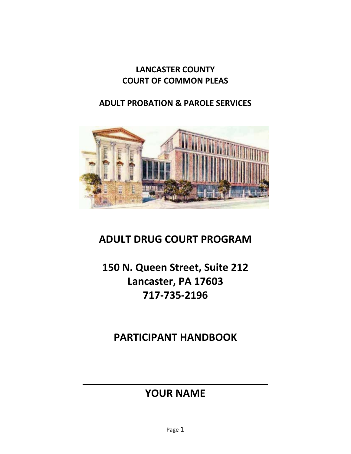# **LANCASTER COUNTY COURT OF COMMON PLEAS**

# **ADULT PROBATION & PAROLE SERVICES**



# **ADULT DRUG COURT PROGRAM**

# **150 N. Queen Street, Suite 212 Lancaster, PA 17603 717‐735‐2196**

**PARTICIPANT HANDBOOK**

# **YOUR NAME**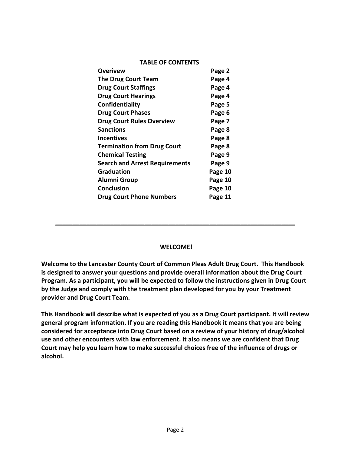#### **TABLE OF CONTENTS**

| Overivew                              | Page 2  |
|---------------------------------------|---------|
| <b>The Drug Court Team</b>            | Page 4  |
| <b>Drug Court Staffings</b>           | Page 4  |
| <b>Drug Court Hearings</b>            | Page 4  |
| Confidentiality                       | Page 5  |
| <b>Drug Court Phases</b>              | Page 6  |
| <b>Drug Court Rules Overview</b>      | Page 7  |
| <b>Sanctions</b>                      | Page 8  |
| <b>Incentives</b>                     | Page 8  |
| <b>Termination from Drug Court</b>    | Page 8  |
| <b>Chemical Testing</b>               | Page 9  |
| <b>Search and Arrest Requirements</b> | Page 9  |
| <b>Graduation</b>                     | Page 10 |
| <b>Alumni Group</b>                   | Page 10 |
| <b>Conclusion</b>                     | Page 10 |
| <b>Drug Court Phone Numbers</b>       | Page 11 |

#### **WELCOME!**

**\_\_\_\_\_\_\_\_\_\_\_\_\_\_\_\_\_\_\_\_\_\_\_\_\_\_\_\_\_\_\_\_\_\_\_\_\_\_\_\_\_\_\_\_\_\_\_\_\_\_\_\_\_\_\_\_\_\_\_\_\_\_\_\_\_\_\_\_\_\_**

**Welcome to the Lancaster County Court of Common Pleas Adult Drug Court. This Handbook is designed to answer your questions and provide overall information about the Drug Court Program. As a participant, you will be expected to follow the instructions given in Drug Court by the Judge and comply with the treatment plan developed for you by your Treatment provider and Drug Court Team.** 

**This Handbook will describe what is expected of you as a Drug Court participant. It will review general program information. If you are reading this Handbook it means that you are being considered for acceptance into Drug Court based on a review of your history of drug/alcohol use and other encounters with law enforcement. It also means we are confident that Drug Court may help you learn how to make successful choices free of the influence of drugs or alcohol.**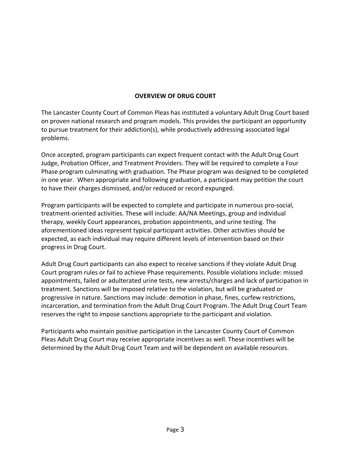# **OVERVIEW OF DRUG COURT**

The Lancaster County Court of Common Pleas has instituted a voluntary Adult Drug Court based on proven national research and program models. This provides the participant an opportunity to pursue treatment for their addiction(s), while productively addressing associated legal problems.

Once accepted, program participants can expect frequent contact with the Adult Drug Court Judge, Probation Officer, and Treatment Providers. They will be required to complete a Four Phase program culminating with graduation. The Phase program was designed to be completed in one year. When appropriate and following graduation, a participant may petition the court to have their charges dismissed, and/or reduced or record expunged.

Program participants will be expected to complete and participate in numerous pro‐social, treatment‐oriented activities. These will include: AA/NA Meetings, group and individual therapy, weekly Court appearances, probation appointments, and urine testing. The aforementioned ideas represent typical participant activities. Other activities should be expected, as each individual may require different levels of intervention based on their progress in Drug Court.

Adult Drug Court participants can also expect to receive sanctions if they violate Adult Drug Court program rules or fail to achieve Phase requirements. Possible violations include: missed appointments, failed or adulterated urine tests, new arrests/charges and lack of participation in treatment. Sanctions will be imposed relative to the violation, but will be graduated or progressive in nature. Sanctions may include: demotion in phase, fines, curfew restrictions, incarceration, and termination from the Adult Drug Court Program. The Adult Drug Court Team reserves the right to impose sanctions appropriate to the participant and violation.

Participants who maintain positive participation in the Lancaster County Court of Common Pleas Adult Drug Court may receive appropriate incentives as well. These incentives will be determined by the Adult Drug Court Team and will be dependent on available resources.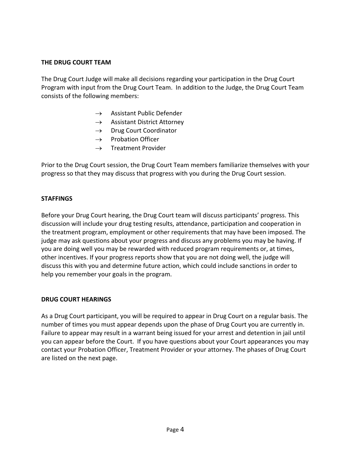# **THE DRUG COURT TEAM**

The Drug Court Judge will make all decisions regarding your participation in the Drug Court Program with input from the Drug Court Team. In addition to the Judge, the Drug Court Team consists of the following members:

- $\rightarrow$  Assistant Public Defender
- $\rightarrow$  Assistant District Attorney
- $\rightarrow$  Drug Court Coordinator
- $\rightarrow$  Probation Officer
- $\rightarrow$  Treatment Provider

Prior to the Drug Court session, the Drug Court Team members familiarize themselves with your progress so that they may discuss that progress with you during the Drug Court session.

## **STAFFINGS**

Before your Drug Court hearing, the Drug Court team will discuss participants' progress. This discussion will include your drug testing results, attendance, participation and cooperation in the treatment program, employment or other requirements that may have been imposed. The judge may ask questions about your progress and discuss any problems you may be having. If you are doing well you may be rewarded with reduced program requirements or, at times, other incentives. If your progress reports show that you are not doing well, the judge will discuss this with you and determine future action, which could include sanctions in order to help you remember your goals in the program.

## **DRUG COURT HEARINGS**

As a Drug Court participant, you will be required to appear in Drug Court on a regular basis. The number of times you must appear depends upon the phase of Drug Court you are currently in. Failure to appear may result in a warrant being issued for your arrest and detention in jail until you can appear before the Court. If you have questions about your Court appearances you may contact your Probation Officer, Treatment Provider or your attorney. The phases of Drug Court are listed on the next page.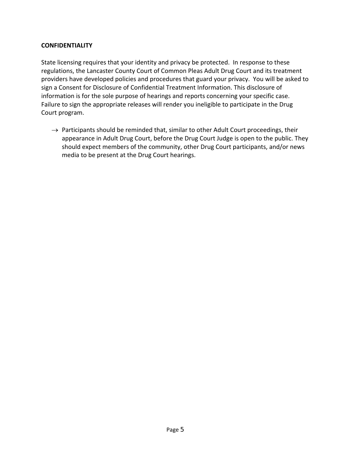# **CONFIDENTIALITY**

State licensing requires that your identity and privacy be protected. In response to these regulations, the Lancaster County Court of Common Pleas Adult Drug Court and its treatment providers have developed policies and procedures that guard your privacy. You will be asked to sign a Consent for Disclosure of Confidential Treatment Information. This disclosure of information is for the sole purpose of hearings and reports concerning your specific case. Failure to sign the appropriate releases will render you ineligible to participate in the Drug Court program.

 $\rightarrow$  Participants should be reminded that, similar to other Adult Court proceedings, their appearance in Adult Drug Court, before the Drug Court Judge is open to the public. They should expect members of the community, other Drug Court participants, and/or news media to be present at the Drug Court hearings.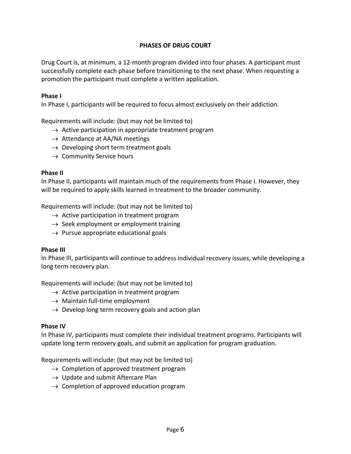# **PHASES OF DRUG COURT**

Drug Court is, at minimum, a 12‐month program divided into four phases. A participant must successfully complete each phase before transitioning to the next phase. When requesting a promotion the participant must complete a written application.

#### **Phase I**

In Phase I, participants will be required to focus almost exclusively on their addiction.

Requirements will include: (but may not be limited to)

- $\rightarrow$  Active participation in appropriate treatment program
- $\rightarrow$  Attendance at AA/NA meetings
- $\rightarrow$  Developing short term treatment goals
- $\rightarrow$  Community Service hours

#### **Phase II**

In Phase II, participants will maintain much of the requirements from Phase I. However, they will be required to apply skills learned in treatment to the broader community.

Requirements will include: (but may not be limited to)

- $\rightarrow$  Active participation in treatment program
- $\rightarrow$  Seek employment or employment training
- $\rightarrow$  Pursue appropriate educational goals

## **Phase III**

In Phase III, participants will continue to address individual recovery issues, while developing a long term recovery plan.

Requirements will include: (but may not be limited to)

- $\rightarrow$  Active participation in treatment program
- $\rightarrow$  Maintain full-time employment
- $\rightarrow$  Develop long term recovery goals and action plan

## **Phase IV**

In Phase IV, participants must complete their individual treatment programs. Participants will update long term recovery goals, and submit an application for program graduation.

Requirements will include: (but may not be limited to)

- $\rightarrow$  Completion of approved treatment program
- $\rightarrow$  Update and submit Aftercare Plan
- $\rightarrow$  Completion of approved education program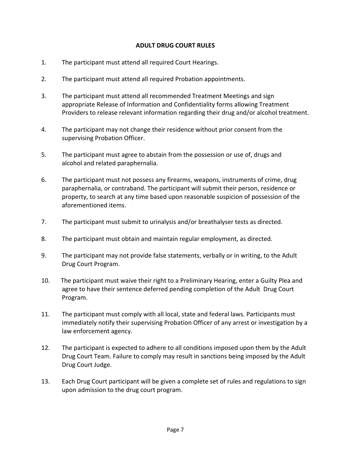# **ADULT DRUG COURT RULES**

- 1. The participant must attend all required Court Hearings.
- 2. The participant must attend all required Probation appointments.
- 3. The participant must attend all recommended Treatment Meetings and sign appropriate Release of Information and Confidentiality forms allowing Treatment Providers to release relevant information regarding their drug and/or alcohol treatment.
- 4. The participant may not change their residence without prior consent from the supervising Probation Officer.
- 5. The participant must agree to abstain from the possession or use of, drugs and alcohol and related paraphernalia.
- 6. The participant must not possess any firearms, weapons, instruments of crime, drug paraphernalia, or contraband. The participant will submit their person, residence or property, to search at any time based upon reasonable suspicion of possession of the aforementioned items.
- 7. The participant must submit to urinalysis and/or breathalyser tests as directed.
- 8. The participant must obtain and maintain regular employment, as directed.
- 9. The participant may not provide false statements, verbally or in writing, to the Adult Drug Court Program.
- 10. The participant must waive their right to a Preliminary Hearing, enter a Guilty Plea and agree to have their sentence deferred pending completion of the Adult Drug Court Program.
- 11. The participant must comply with all local, state and federal laws. Participants must immediately notify their supervising Probation Officer of any arrest or investigation by a law enforcement agency.
- 12. The participant is expected to adhere to all conditions imposed upon them by the Adult Drug Court Team. Failure to comply may result in sanctions being imposed by the Adult Drug Court Judge.
- 13. Each Drug Court participant will be given a complete set of rules and regulations to sign upon admission to the drug court program.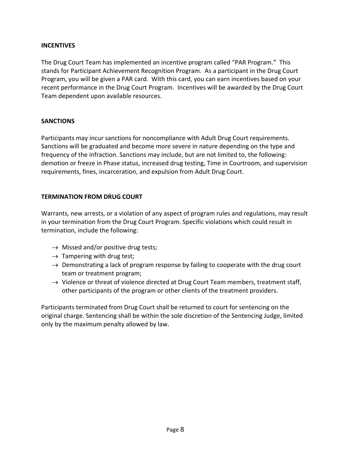# **INCENTIVES**

The Drug Court Team has implemented an incentive program called "PAR Program." This stands for Participant Achievement Recognition Program. As a participant in the Drug Court Program, you will be given a PAR card. With this card, you can earn incentives based on your recent performance in the Drug Court Program. Incentives will be awarded by the Drug Court Team dependent upon available resources.

# **SANCTIONS**

Participants may incur sanctions for noncompliance with Adult Drug Court requirements. Sanctions will be graduated and become more severe in nature depending on the type and frequency of the infraction. Sanctions may include, but are not limited to, the following: demotion or freeze in Phase status, increased drug testing, Time in Courtroom, and supervision requirements, fines, incarceration, and expulsion from Adult Drug Court.

# **TERMINATION FROM DRUG COURT**

Warrants, new arrests, or a violation of any aspect of program rules and regulations, may result in your termination from the Drug Court Program. Specific violations which could result in termination, include the following:

- $\rightarrow$  Missed and/or positive drug tests;
- $\rightarrow$  Tampering with drug test;
- $\rightarrow$  Demonstrating a lack of program response by failing to cooperate with the drug court team or treatment program;
- $\rightarrow$  Violence or threat of violence directed at Drug Court Team members, treatment staff, other participants of the program or other clients of the treatment providers.

Participants terminated from Drug Court shall be returned to court for sentencing on the original charge. Sentencing shall be within the sole discretion of the Sentencing Judge, limited only by the maximum penalty allowed by law.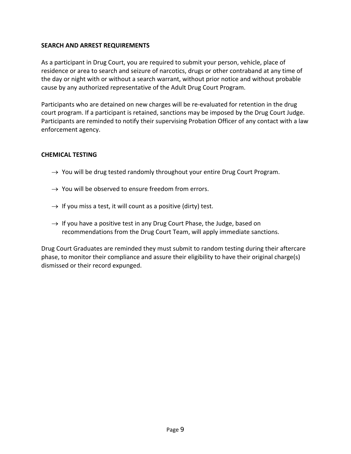# **SEARCH AND ARREST REQUIREMENTS**

As a participant in Drug Court, you are required to submit your person, vehicle, place of residence or area to search and seizure of narcotics, drugs or other contraband at any time of the day or night with or without a search warrant, without prior notice and without probable cause by any authorized representative of the Adult Drug Court Program.

Participants who are detained on new charges will be re‐evaluated for retention in the drug court program. If a participant is retained, sanctions may be imposed by the Drug Court Judge. Participants are reminded to notify their supervising Probation Officer of any contact with a law enforcement agency.

# **CHEMICAL TESTING**

- $\rightarrow$  You will be drug tested randomly throughout your entire Drug Court Program.
- $\rightarrow$  You will be observed to ensure freedom from errors.
- $\rightarrow$  If you miss a test, it will count as a positive (dirty) test.
- $\rightarrow$  If you have a positive test in any Drug Court Phase, the Judge, based on recommendations from the Drug Court Team, will apply immediate sanctions.

Drug Court Graduates are reminded they must submit to random testing during their aftercare phase, to monitor their compliance and assure their eligibility to have their original charge(s) dismissed or their record expunged.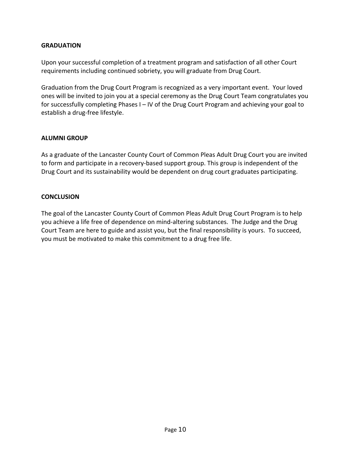# **GRADUATION**

Upon your successful completion of a treatment program and satisfaction of all other Court requirements including continued sobriety, you will graduate from Drug Court.

Graduation from the Drug Court Program is recognized as a very important event. Your loved ones will be invited to join you at a special ceremony as the Drug Court Team congratulates you for successfully completing Phases I – IV of the Drug Court Program and achieving your goal to establish a drug‐free lifestyle.

# **ALUMNI GROUP**

As a graduate of the Lancaster County Court of Common Pleas Adult Drug Court you are invited to form and participate in a recovery‐based support group. This group is independent of the Drug Court and its sustainability would be dependent on drug court graduates participating.

## **CONCLUSION**

The goal of the Lancaster County Court of Common Pleas Adult Drug Court Program is to help you achieve a life free of dependence on mind‐altering substances. The Judge and the Drug Court Team are here to guide and assist you, but the final responsibility is yours. To succeed, you must be motivated to make this commitment to a drug free life.